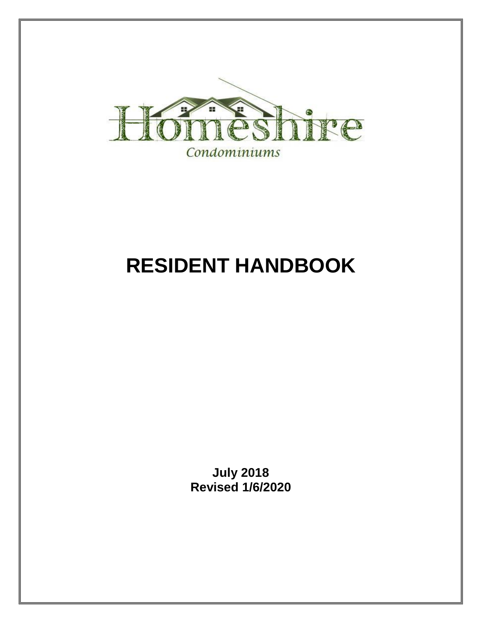

# **RESIDENT HANDBOOK**

**July 2018 Revised 1/6/2020**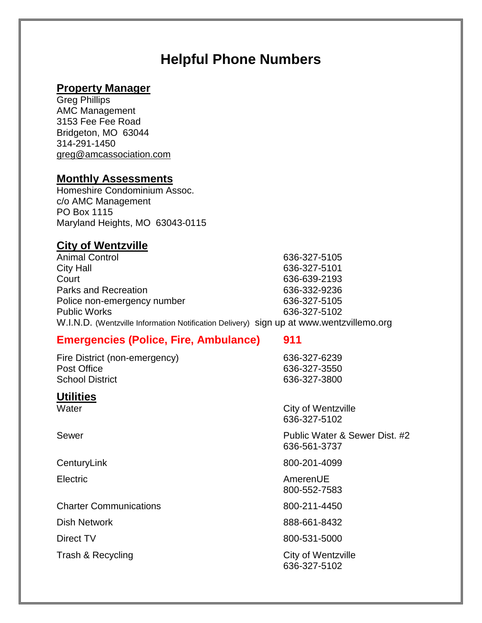## **Helpful Phone Numbers**

#### **Property Manager**

Greg Phillips AMC Management 3153 Fee Fee Road Bridgeton, MO 63044 314-291-1450 [greg@amcassociation.com](mailto:greg@amcassociation.com)

#### **Monthly Assessments**

Homeshire Condominium Assoc. c/o AMC Management PO Box 1115 Maryland Heights, MO 63043-0115

#### **City of Wentzville**

Animal Control 636-327-5105 City Hall 636-327-5101 Court 636-639-2193 Parks and Recreation 636-332-9236 Police non-emergency number 636-327-5105 Public Works 636-327-5102 W.I.N.D. (Wentzville Information Notification Delivery) sign up at www.wentzvillemo.org

#### **Emergencies (Police, Fire, Ambulance) 911**

Fire District (non-emergency) 636-327-6239 Post Office 636-327-3550 School District 636-327-3800

#### **Utilities**

Charter Communications 800-211-4450

Trash & Recycling City of Wentzville

Water Water City of Wentzville 636-327-5102

Sewer **Public Water & Sewer Dist. #2** 636-561-3737

CenturyLink 800-201-4099

Electric AmerenUE 800-552-7583

Dish Network 888-661-8432

Direct TV 800-531-5000

636-327-5102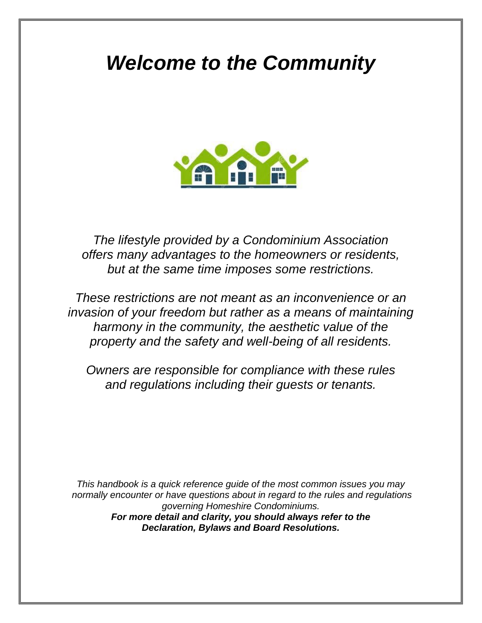## *Welcome to the Community*



*The lifestyle provided by a Condominium Association offers many advantages to the homeowners or residents, but at the same time imposes some restrictions.* 

*These restrictions are not meant as an inconvenience or an invasion of your freedom but rather as a means of maintaining harmony in the community, the aesthetic value of the property and the safety and well-being of all residents.*

*Owners are responsible for compliance with these rules and regulations including their guests or tenants.*

*This handbook is a quick reference guide of the most common issues you may normally encounter or have questions about in regard to the rules and regulations governing Homeshire Condominiums. For more detail and clarity, you should always refer to the Declaration, Bylaws and Board Resolutions.*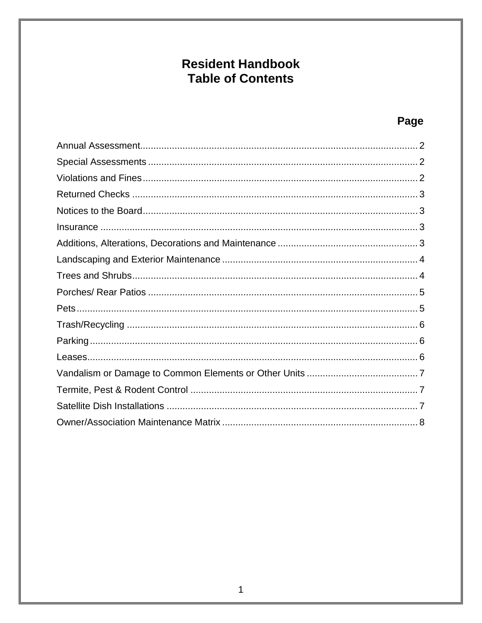## **Resident Handbook Table of Contents**

### Page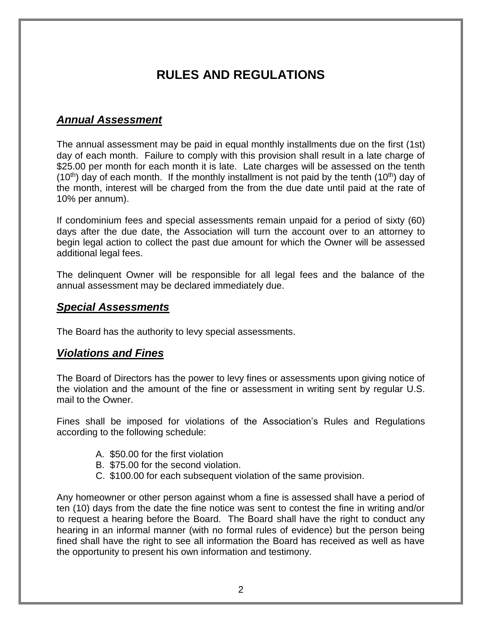## **RULES AND REGULATIONS**

#### <span id="page-4-0"></span>*Annual Assessment*

The annual assessment may be paid in equal monthly installments due on the first (1st) day of each month. Failure to comply with this provision shall result in a late charge of \$25.00 per month for each month it is late. Late charges will be assessed on the tenth  $(10<sup>th</sup>)$  day of each month. If the monthly installment is not paid by the tenth  $(10<sup>th</sup>)$  day of the month, interest will be charged from the from the due date until paid at the rate of 10% per annum).

If condominium fees and special assessments remain unpaid for a period of sixty (60) days after the due date, the Association will turn the account over to an attorney to begin legal action to collect the past due amount for which the Owner will be assessed additional legal fees.

The delinquent Owner will be responsible for all legal fees and the balance of the annual assessment may be declared immediately due.

#### <span id="page-4-1"></span>*Special Assessments*

The Board has the authority to levy special assessments.

#### <span id="page-4-2"></span>*Violations and Fines*

The Board of Directors has the power to levy fines or assessments upon giving notice of the violation and the amount of the fine or assessment in writing sent by regular U.S. mail to the Owner.

Fines shall be imposed for violations of the Association's Rules and Regulations according to the following schedule:

- A. \$50.00 for the first violation
- B. \$75.00 for the second violation.
- C. \$100.00 for each subsequent violation of the same provision.

Any homeowner or other person against whom a fine is assessed shall have a period of ten (10) days from the date the fine notice was sent to contest the fine in writing and/or to request a hearing before the Board. The Board shall have the right to conduct any hearing in an informal manner (with no formal rules of evidence) but the person being fined shall have the right to see all information the Board has received as well as have the opportunity to present his own information and testimony.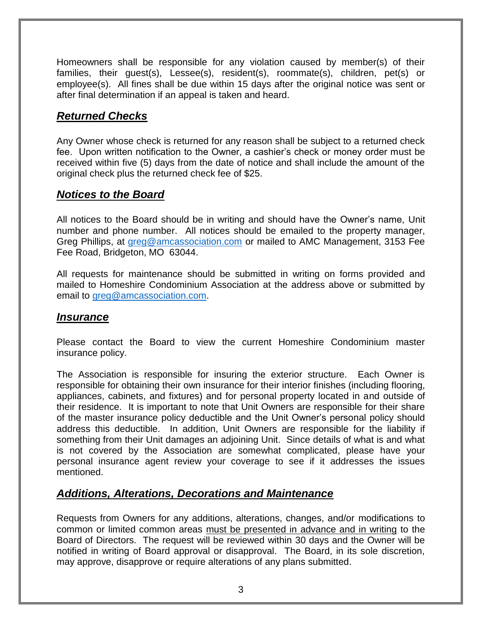Homeowners shall be responsible for any violation caused by member(s) of their families, their guest(s), Lessee(s), resident(s), roommate(s), children, pet(s) or employee(s). All fines shall be due within 15 days after the original notice was sent or after final determination if an appeal is taken and heard.

#### <span id="page-5-0"></span>*Returned Checks*

Any Owner whose check is returned for any reason shall be subject to a returned check fee. Upon written notification to the Owner, a cashier's check or money order must be received within five (5) days from the date of notice and shall include the amount of the original check plus the returned check fee of \$25.

#### <span id="page-5-1"></span>*Notices to the Board*

All notices to the Board should be in writing and should have the Owner's name, Unit number and phone number. All notices should be emailed to the property manager, Greg Phillips, at [greg@amcassociation.com](mailto:greg@amcassociation.com) or mailed to AMC Management, 3153 Fee Fee Road, Bridgeton, MO 63044.

All requests for maintenance should be submitted in writing on forms provided and mailed to Homeshire Condominium Association at the address above or submitted by email to [greg@amcassociation.com.](mailto:greg@amcassociation.com)

#### <span id="page-5-2"></span>*Insurance*

Please contact the Board to view the current Homeshire Condominium master insurance policy.

The Association is responsible for insuring the exterior structure. Each Owner is responsible for obtaining their own insurance for their interior finishes (including flooring, appliances, cabinets, and fixtures) and for personal property located in and outside of their residence. It is important to note that Unit Owners are responsible for their share of the master insurance policy deductible and the Unit Owner's personal policy should address this deductible. In addition, Unit Owners are responsible for the liability if something from their Unit damages an adjoining Unit. Since details of what is and what is not covered by the Association are somewhat complicated, please have your personal insurance agent review your coverage to see if it addresses the issues mentioned.

#### <span id="page-5-3"></span>*Additions, Alterations, Decorations and Maintenance*

Requests from Owners for any additions, alterations, changes, and/or modifications to common or limited common areas must be presented in advance and in writing to the Board of Directors. The request will be reviewed within 30 days and the Owner will be notified in writing of Board approval or disapproval. The Board, in its sole discretion, may approve, disapprove or require alterations of any plans submitted.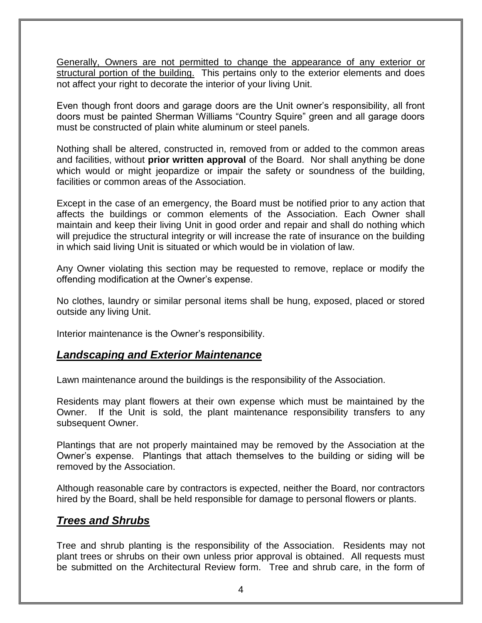Generally, Owners are not permitted to change the appearance of any exterior or structural portion of the building. This pertains only to the exterior elements and does not affect your right to decorate the interior of your living Unit.

Even though front doors and garage doors are the Unit owner's responsibility, all front doors must be painted Sherman Williams "Country Squire" green and all garage doors must be constructed of plain white aluminum or steel panels.

Nothing shall be altered, constructed in, removed from or added to the common areas and facilities, without **prior written approval** of the Board. Nor shall anything be done which would or might jeopardize or impair the safety or soundness of the building, facilities or common areas of the Association.

Except in the case of an emergency, the Board must be notified prior to any action that affects the buildings or common elements of the Association. Each Owner shall maintain and keep their living Unit in good order and repair and shall do nothing which will prejudice the structural integrity or will increase the rate of insurance on the building in which said living Unit is situated or which would be in violation of law.

Any Owner violating this section may be requested to remove, replace or modify the offending modification at the Owner's expense.

No clothes, laundry or similar personal items shall be hung, exposed, placed or stored outside any living Unit.

<span id="page-6-0"></span>Interior maintenance is the Owner's responsibility.

#### *Landscaping and Exterior Maintenance*

Lawn maintenance around the buildings is the responsibility of the Association.

Residents may plant flowers at their own expense which must be maintained by the Owner. If the Unit is sold, the plant maintenance responsibility transfers to any subsequent Owner.

Plantings that are not properly maintained may be removed by the Association at the Owner's expense. Plantings that attach themselves to the building or siding will be removed by the Association.

Although reasonable care by contractors is expected, neither the Board, nor contractors hired by the Board, shall be held responsible for damage to personal flowers or plants.

#### <span id="page-6-1"></span>*Trees and Shrubs*

Tree and shrub planting is the responsibility of the Association. Residents may not plant trees or shrubs on their own unless prior approval is obtained. All requests must be submitted on the Architectural Review form. Tree and shrub care, in the form of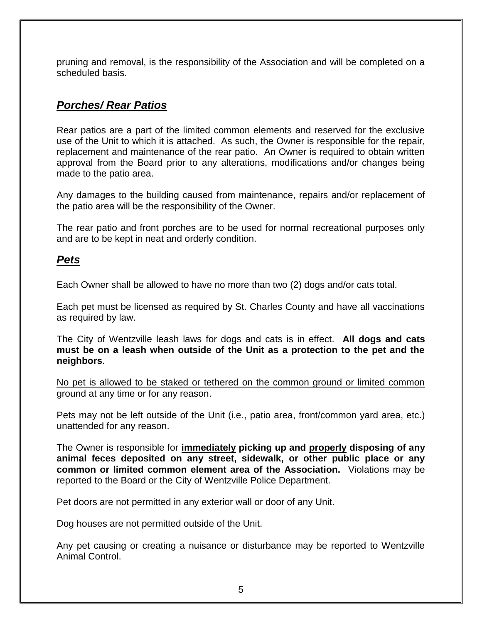pruning and removal, is the responsibility of the Association and will be completed on a scheduled basis.

#### <span id="page-7-0"></span>*Porches/ Rear Patios*

Rear patios are a part of the limited common elements and reserved for the exclusive use of the Unit to which it is attached. As such, the Owner is responsible for the repair, replacement and maintenance of the rear patio. An Owner is required to obtain written approval from the Board prior to any alterations, modifications and/or changes being made to the patio area.

Any damages to the building caused from maintenance, repairs and/or replacement of the patio area will be the responsibility of the Owner.

The rear patio and front porches are to be used for normal recreational purposes only and are to be kept in neat and orderly condition.

#### <span id="page-7-1"></span>*Pets*

Each Owner shall be allowed to have no more than two (2) dogs and/or cats total.

Each pet must be licensed as required by St. Charles County and have all vaccinations as required by law.

The City of Wentzville leash laws for dogs and cats is in effect. **All dogs and cats must be on a leash when outside of the Unit as a protection to the pet and the neighbors**.

No pet is allowed to be staked or tethered on the common ground or limited common ground at any time or for any reason.

Pets may not be left outside of the Unit (i.e., patio area, front/common yard area, etc.) unattended for any reason.

The Owner is responsible for **immediately picking up and properly disposing of any animal feces deposited on any street, sidewalk, or other public place or any common or limited common element area of the Association.** Violations may be reported to the Board or the City of Wentzville Police Department.

Pet doors are not permitted in any exterior wall or door of any Unit.

Dog houses are not permitted outside of the Unit.

Any pet causing or creating a nuisance or disturbance may be reported to Wentzville Animal Control.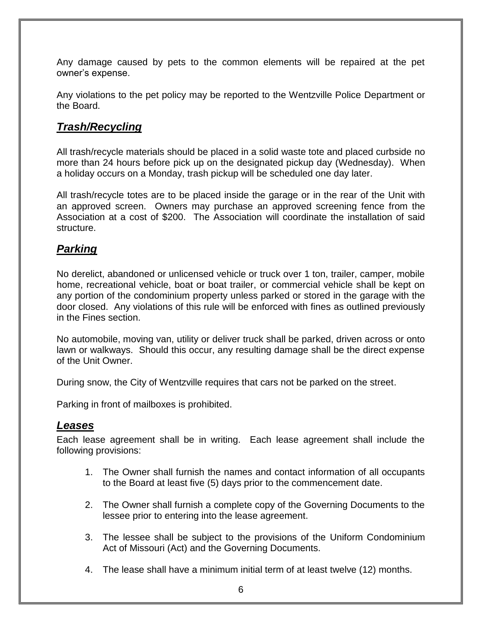Any damage caused by pets to the common elements will be repaired at the pet owner's expense.

Any violations to the pet policy may be reported to the Wentzville Police Department or the Board.

#### <span id="page-8-0"></span>*Trash/Recycling*

All trash/recycle materials should be placed in a solid waste tote and placed curbside no more than 24 hours before pick up on the designated pickup day (Wednesday). When a holiday occurs on a Monday, trash pickup will be scheduled one day later.

All trash/recycle totes are to be placed inside the garage or in the rear of the Unit with an approved screen. Owners may purchase an approved screening fence from the Association at a cost of \$200. The Association will coordinate the installation of said structure.

#### <span id="page-8-1"></span>*Parking*

No derelict, abandoned or unlicensed vehicle or truck over 1 ton, trailer, camper, mobile home, recreational vehicle, boat or boat trailer, or commercial vehicle shall be kept on any portion of the condominium property unless parked or stored in the garage with the door closed. Any violations of this rule will be enforced with fines as outlined previously in the Fines section.

No automobile, moving van, utility or deliver truck shall be parked, driven across or onto lawn or walkways. Should this occur, any resulting damage shall be the direct expense of the Unit Owner.

During snow, the City of Wentzville requires that cars not be parked on the street.

Parking in front of mailboxes is prohibited.

#### <span id="page-8-2"></span>*Leases*

Each lease agreement shall be in writing. Each lease agreement shall include the following provisions:

- 1. The Owner shall furnish the names and contact information of all occupants to the Board at least five (5) days prior to the commencement date.
- 2. The Owner shall furnish a complete copy of the Governing Documents to the lessee prior to entering into the lease agreement.
- 3. The lessee shall be subject to the provisions of the Uniform Condominium Act of Missouri (Act) and the Governing Documents.
- 4. The lease shall have a minimum initial term of at least twelve (12) months.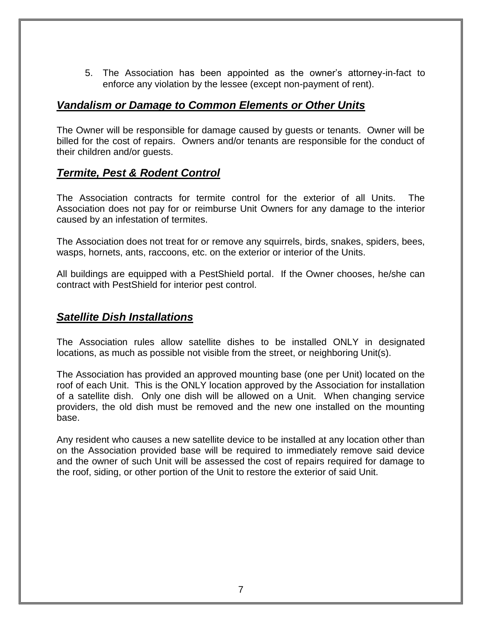5. The Association has been appointed as the owner's attorney-in-fact to enforce any violation by the lessee (except non-payment of rent).

#### <span id="page-9-0"></span>*Vandalism or Damage to Common Elements or Other Units*

The Owner will be responsible for damage caused by guests or tenants. Owner will be billed for the cost of repairs. Owners and/or tenants are responsible for the conduct of their children and/or guests.

#### <span id="page-9-1"></span>*Termite, Pest & Rodent Control*

The Association contracts for termite control for the exterior of all Units. The Association does not pay for or reimburse Unit Owners for any damage to the interior caused by an infestation of termites.

The Association does not treat for or remove any squirrels, birds, snakes, spiders, bees, wasps, hornets, ants, raccoons, etc. on the exterior or interior of the Units.

All buildings are equipped with a PestShield portal. If the Owner chooses, he/she can contract with PestShield for interior pest control.

#### <span id="page-9-2"></span>*Satellite Dish Installations*

The Association rules allow satellite dishes to be installed ONLY in designated locations, as much as possible not visible from the street, or neighboring Unit(s).

The Association has provided an approved mounting base (one per Unit) located on the roof of each Unit. This is the ONLY location approved by the Association for installation of a satellite dish. Only one dish will be allowed on a Unit. When changing service providers, the old dish must be removed and the new one installed on the mounting base.

Any resident who causes a new satellite device to be installed at any location other than on the Association provided base will be required to immediately remove said device and the owner of such Unit will be assessed the cost of repairs required for damage to the roof, siding, or other portion of the Unit to restore the exterior of said Unit.